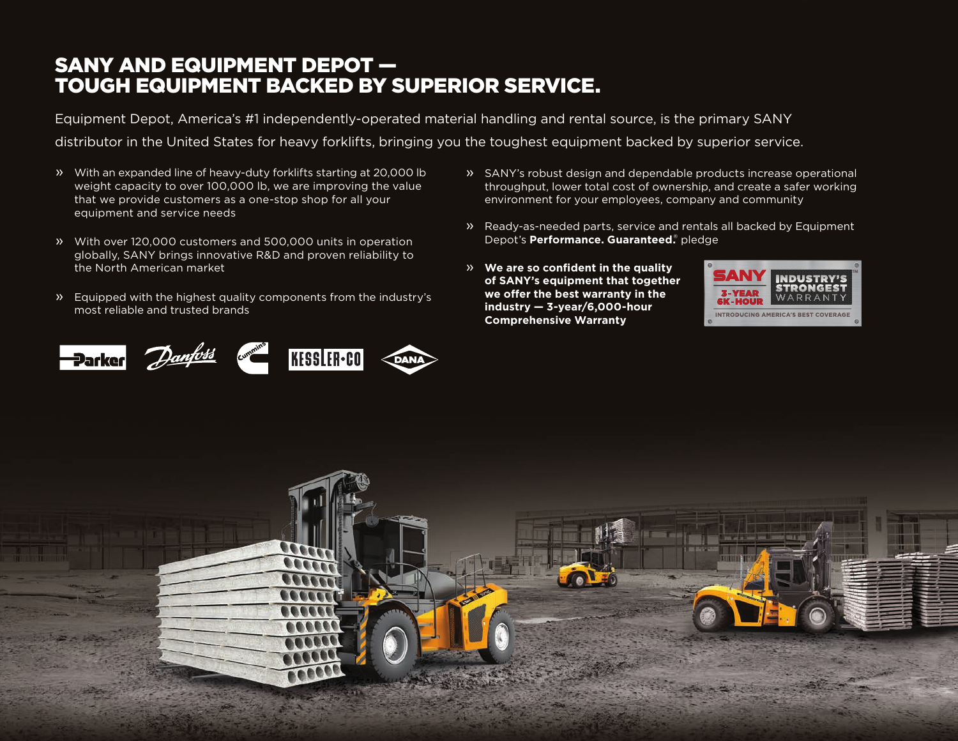## SANY AND EQUIPMENT DEPOT — TOUGH EQUIPMENT BACKED BY SUPERIOR SERVICE.

Equipment Depot, America's #1 independently-operated material handling and rental source, is the primary SANY distributor in the United States for heavy forklifts, bringing you the toughest equipment backed by superior service.

- » With an expanded line of heavy-duty forklifts starting at 20,000 lb weight capacity to over 100,000 lb, we are improving the value that we provide customers as a one-stop shop for all your equipment and service needs
- » With over 120,000 customers and 500,000 units in operation globally, SANY brings innovative R&D and proven reliability to the North American market
- » Equipped with the highest quality components from the industry's most reliable and trusted brands



- » SANY's robust design and dependable products increase operational throughput, lower total cost of ownership, and create a safer working environment for your employees, company and community
- » Ready-as-needed parts, service and rentals all backed by Equipment Depot's **Performance. Guaranteed.**® pledge
- » **We are so confident in the quality of SANY's equipment that together we offer the best warranty in the industry — 3-year/6,000-hour Comprehensive Warranty**